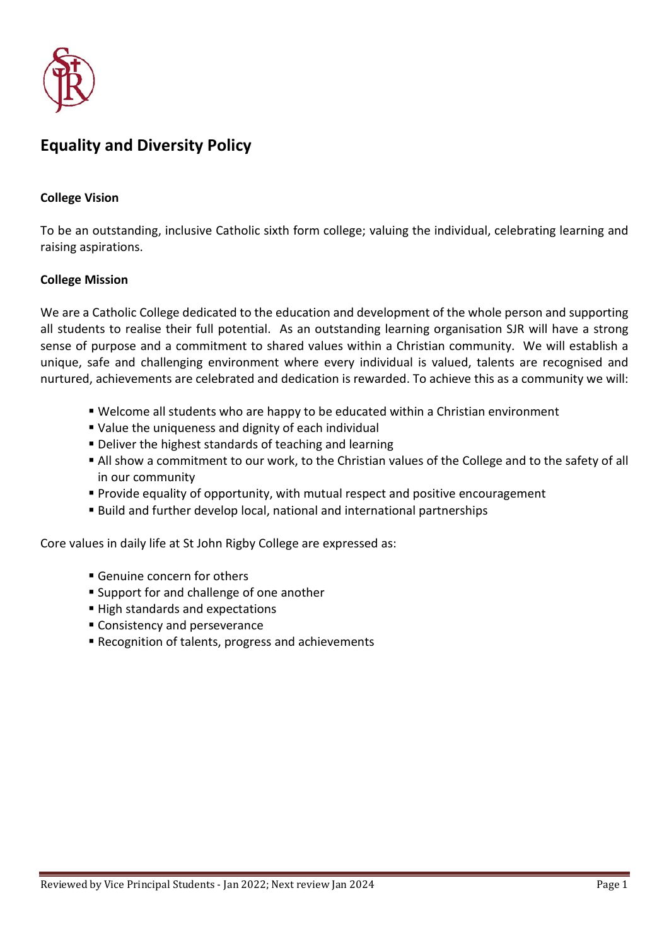

# **Equality and Diversity Policy**

#### **College Vision**

To be an outstanding, inclusive Catholic sixth form college; valuing the individual, celebrating learning and raising aspirations.

#### **College Mission**

We are a Catholic College dedicated to the education and development of the whole person and supporting all students to realise their full potential. As an outstanding learning organisation SJR will have a strong sense of purpose and a commitment to shared values within a Christian community. We will establish a unique, safe and challenging environment where every individual is valued, talents are recognised and nurtured, achievements are celebrated and dedication is rewarded. To achieve this as a community we will:

- Welcome all students who are happy to be educated within a Christian environment
- Value the uniqueness and dignity of each individual
- Deliver the highest standards of teaching and learning
- All show a commitment to our work, to the Christian values of the College and to the safety of all in our community
- Provide equality of opportunity, with mutual respect and positive encouragement
- Build and further develop local, national and international partnerships

Core values in daily life at St John Rigby College are expressed as:

- Genuine concern for others
- Support for and challenge of one another
- High standards and expectations
- Consistency and perseverance
- Recognition of talents, progress and achievements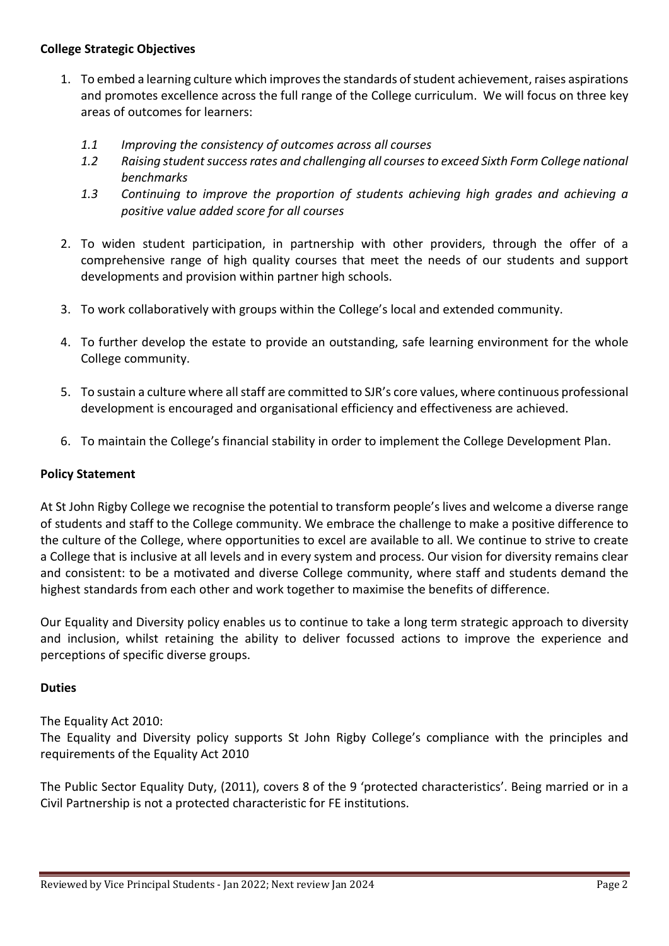#### **College Strategic Objectives**

- 1. To embed a learning culture which improves the standards of student achievement, raises aspirations and promotes excellence across the full range of the College curriculum. We will focus on three key areas of outcomes for learners:
	- *1.1 Improving the consistency of outcomes across all courses*
	- *1.2 Raising student success rates and challenging all courses to exceed Sixth Form College national benchmarks*
	- *1.3 Continuing to improve the proportion of students achieving high grades and achieving a positive value added score for all courses*
- 2. To widen student participation, in partnership with other providers, through the offer of a comprehensive range of high quality courses that meet the needs of our students and support developments and provision within partner high schools.
- 3. To work collaboratively with groups within the College's local and extended community.
- 4. To further develop the estate to provide an outstanding, safe learning environment for the whole College community.
- 5. To sustain a culture where all staff are committed to SJR's core values, where continuous professional development is encouraged and organisational efficiency and effectiveness are achieved.
- 6. To maintain the College's financial stability in order to implement the College Development Plan.

#### **Policy Statement**

At St John Rigby College we recognise the potential to transform people's lives and welcome a diverse range of students and staff to the College community. We embrace the challenge to make a positive difference to the culture of the College, where opportunities to excel are available to all. We continue to strive to create a College that is inclusive at all levels and in every system and process. Our vision for diversity remains clear and consistent: to be a motivated and diverse College community, where staff and students demand the highest standards from each other and work together to maximise the benefits of difference.

Our Equality and Diversity policy enables us to continue to take a long term strategic approach to diversity and inclusion, whilst retaining the ability to deliver focussed actions to improve the experience and perceptions of specific diverse groups.

#### **Duties**

The Equality Act 2010:

The Equality and Diversity policy supports St John Rigby College's compliance with the principles and requirements of the Equality Act 2010

The Public Sector Equality Duty, (2011), covers 8 of the 9 'protected characteristics'. Being married or in a Civil Partnership is not a protected characteristic for FE institutions.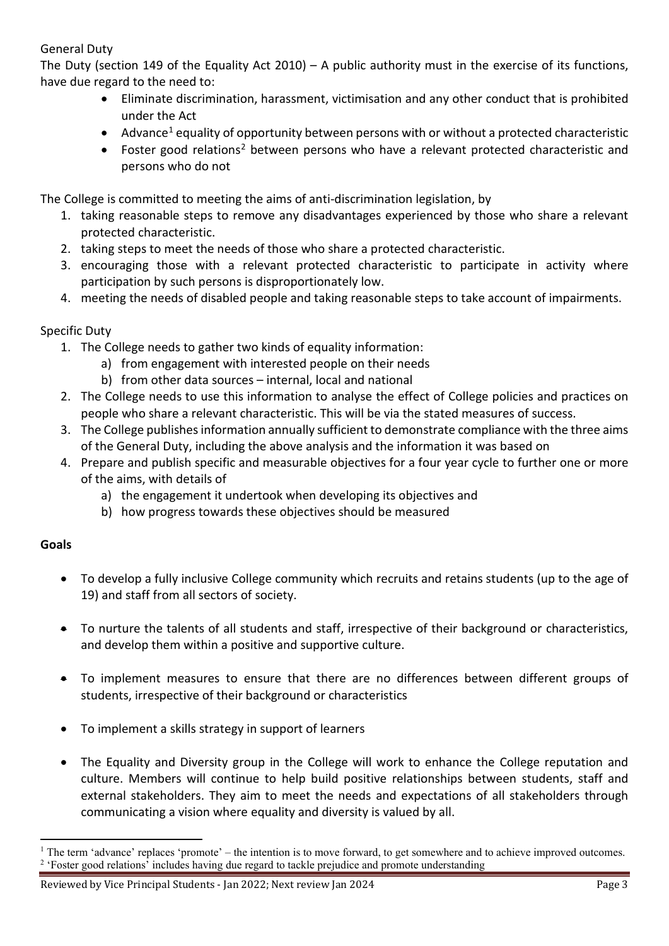## General Duty

The Duty (section 149 of the Equality Act 2010) – A public authority must in the exercise of its functions, have due regard to the need to:

- Eliminate discrimination, harassment, victimisation and any other conduct that is prohibited under the Act
- Advance<sup>[1](#page-2-0)</sup> equality of opportunity between persons with or without a protected characteristic
- Foster good relations<sup>[2](#page-2-1)</sup> between persons who have a relevant protected characteristic and persons who do not

The College is committed to meeting the aims of anti-discrimination legislation, by

- 1. taking reasonable steps to remove any disadvantages experienced by those who share a relevant protected characteristic.
- 2. taking steps to meet the needs of those who share a protected characteristic.
- 3. encouraging those with a relevant protected characteristic to participate in activity where participation by such persons is disproportionately low.
- 4. meeting the needs of disabled people and taking reasonable steps to take account of impairments.

## Specific Duty

- 1. The College needs to gather two kinds of equality information:
	- a) from engagement with interested people on their needs
	- b) from other data sources internal, local and national
- 2. The College needs to use this information to analyse the effect of College policies and practices on people who share a relevant characteristic. This will be via the stated measures of success.
- 3. The College publishes information annually sufficient to demonstrate compliance with the three aims of the General Duty, including the above analysis and the information it was based on
- 4. Prepare and publish specific and measurable objectives for a four year cycle to further one or more of the aims, with details of
	- a) the engagement it undertook when developing its objectives and
	- b) how progress towards these objectives should be measured

## **Goals**

- To develop a fully inclusive College community which recruits and retains students (up to the age of 19) and staff from all sectors of society.
- To nurture the talents of all students and staff, irrespective of their background or characteristics, and develop them within a positive and supportive culture.
- To implement measures to ensure that there are no differences between different groups of students, irrespective of their background or characteristics
- To implement a skills strategy in support of learners
- The Equality and Diversity group in the College will work to enhance the College reputation and culture. Members will continue to help build positive relationships between students, staff and external stakeholders. They aim to meet the needs and expectations of all stakeholders through communicating a vision where equality and diversity is valued by all.

<span id="page-2-1"></span><span id="page-2-0"></span><sup>1</sup> The term 'advance' replaces 'promote' – the intention is to move forward, to get somewhere and to achieve improved outcomes. <sup>2</sup> 'Foster good relations' includes having due regard to tackle prejudice and promote understanding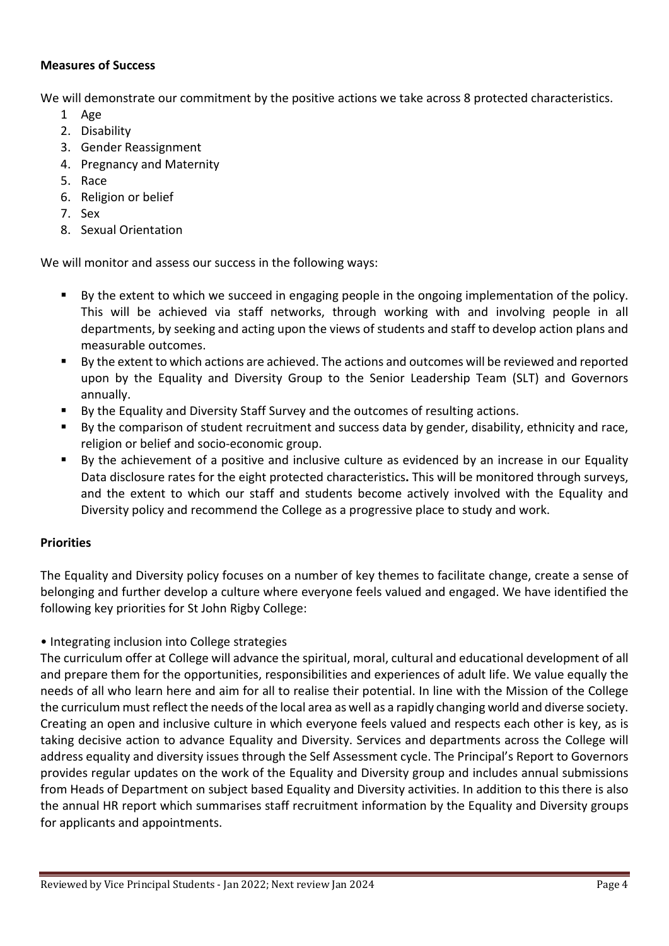#### **Measures of Success**

We will demonstrate our commitment by the positive actions we take across 8 protected characteristics.

- 1 Age
- 2. Disability
- 3. Gender Reassignment
- 4. Pregnancy and Maternity
- 5. Race
- 6. Religion or belief
- 7. Sex
- 8. Sexual Orientation

We will monitor and assess our success in the following ways:

- By the extent to which we succeed in engaging people in the ongoing implementation of the policy. This will be achieved via staff networks, through working with and involving people in all departments, by seeking and acting upon the views of students and staff to develop action plans and measurable outcomes.
- By the extent to which actions are achieved. The actions and outcomes will be reviewed and reported upon by the Equality and Diversity Group to the Senior Leadership Team (SLT) and Governors annually.
- By the Equality and Diversity Staff Survey and the outcomes of resulting actions.
- By the comparison of student recruitment and success data by gender, disability, ethnicity and race, religion or belief and socio-economic group.
- By the achievement of a positive and inclusive culture as evidenced by an increase in our Equality Data disclosure rates for the eight protected characteristics**.** This will be monitored through surveys, and the extent to which our staff and students become actively involved with the Equality and Diversity policy and recommend the College as a progressive place to study and work.

## **Priorities**

The Equality and Diversity policy focuses on a number of key themes to facilitate change, create a sense of belonging and further develop a culture where everyone feels valued and engaged. We have identified the following key priorities for St John Rigby College:

• Integrating inclusion into College strategies

The curriculum offer at College will advance the spiritual, moral, cultural and educational development of all and prepare them for the opportunities, responsibilities and experiences of adult life. We value equally the needs of all who learn here and aim for all to realise their potential. In line with the Mission of the College the curriculum must reflect the needs of the local area as well as a rapidly changing world and diverse society. Creating an open and inclusive culture in which everyone feels valued and respects each other is key, as is taking decisive action to advance Equality and Diversity. Services and departments across the College will address equality and diversity issues through the Self Assessment cycle. The Principal's Report to Governors provides regular updates on the work of the Equality and Diversity group and includes annual submissions from Heads of Department on subject based Equality and Diversity activities. In addition to this there is also the annual HR report which summarises staff recruitment information by the Equality and Diversity groups for applicants and appointments.